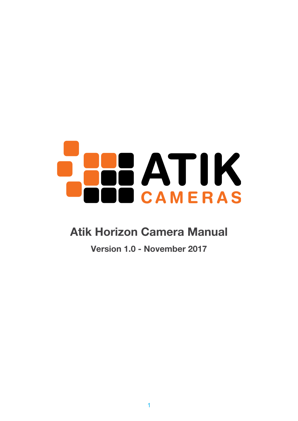# **ATIK CAMERAS**

## **Atik Horizon Camera Manual**

**Version 1.0 - November 2017**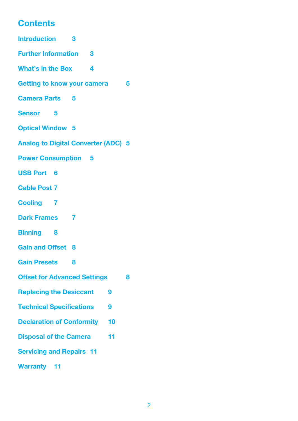### **Contents**

| <b>Introduction</b><br>3                   |   |
|--------------------------------------------|---|
| <b>Further Information 3</b>               |   |
| <b>What's in the Box</b><br>4              |   |
| Getting to know your camera                | 5 |
| <b>Camera Parts 5</b>                      |   |
| <b>Sensor</b> 5                            |   |
| <b>Optical Window 5</b>                    |   |
| <b>Analog to Digital Converter (ADC) 5</b> |   |
| <b>Power Consumption 5</b>                 |   |
| <b>USB Port 6</b>                          |   |
| <b>Cable Post 7</b>                        |   |
| <b>Cooling 7</b>                           |   |
| <b>Dark Frames</b> 7                       |   |
| <b>Binning</b> 8                           |   |
| <b>Gain and Offset 8</b>                   |   |
| <b>Gain Presets</b><br>8                   |   |
| <b>Offset for Advanced Settings</b>        | 8 |
| <b>Replacing the Desiccant</b><br>9        |   |
| <b>Technical Specifications</b><br>9       |   |
| <b>Declaration of Conformity</b><br>10     |   |
| <b>Disposal of the Camera</b><br>11        |   |
| <b>Servicing and Repairs 11</b>            |   |
| <b>Warranty</b> 11                         |   |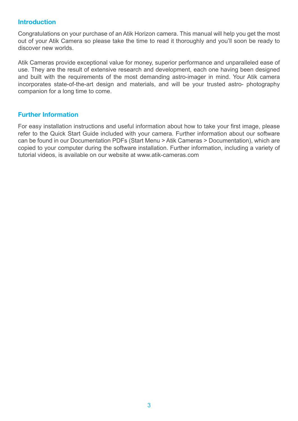#### <span id="page-2-0"></span>**Introduction**

Congratulations on your purchase of an Atik Horizon camera. This manual will help you get the most out of your Atik Camera so please take the time to read it thoroughly and you'll soon be ready to discover new worlds.

Atik Cameras provide exceptional value for money, superior performance and unparalleled ease of use. They are the result of extensive research and development, each one having been designed and built with the requirements of the most demanding astro-imager in mind. Your Atik camera incorporates state-of-the-art design and materials, and will be your trusted astro- photography companion for a long time to come.

#### **Further Information**

For easy installation instructions and useful information about how to take your first image, please refer to the Quick Start Guide included with your camera. Further information about our software can be found in our Documentation PDFs (Start Menu > Atik Cameras > Documentation), which are copied to your computer during the software installation. Further information, including a variety of tutorial videos, is available on our website at www.atik-cameras.com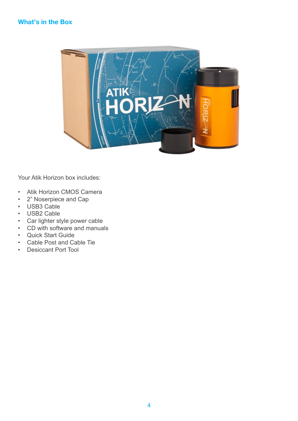#### <span id="page-3-0"></span>**What's in the Box**



Your Atik Horizon box includes:

- Atik Horizon CMOS Camera
- 2" Noserpiece and Cap
- USB3 Cable
- USB2 Cable
- Car lighter style power cable
- CD with software and manuals
- Quick Start Guide
- Cable Post and Cable Tie
- Desiccant Port Tool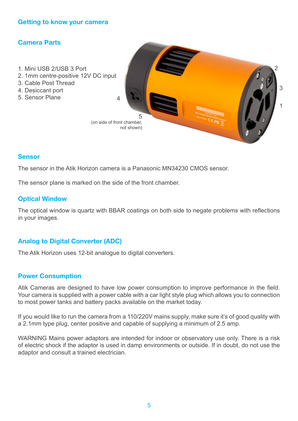#### <span id="page-4-0"></span>**Getting to know your camera**

#### **Camera Parts**

- 1. Mini USB 2/USB 3 Port
- 2. 1mm centre-positive 12V DC input
- 3. Cable Post Thread
- 4. Desiccant port
- 5. Sensor Plane



#### **Sensor**

The sensor in the Atik Horizon camera is a Panasonic MN34230 CMOS sensor.

The sensor plane is marked on the side of the front chamber.

#### **Optical Window**

The optical window is quartz with BBAR coatings on both side to negate problems with reflections in your images.

#### **Analog to Digital Converter (ADC)**

The Atik Horizon uses 12-bit analogue to digital converters.

#### **Power Consumption**

Atik Cameras are designed to have low power consumption to improve performance in the field. Your camera is supplied with a power cable with a car light style plug which allows you to connection to most power tanks and battery packs available on the market today.

If you would like to run the camera from a 110/220V mains supply, make sure it's of good quality with a 2.1mm type plug, center positive and capable of supplying a minimum of 2.5 amp.

WARNING Mains power adaptors are intended for indoor or observatory use only. There is a risk of electric shock if the adaptor is used in damp environments or outside. If in doubt, do not use the adaptor and consult a trained electrician.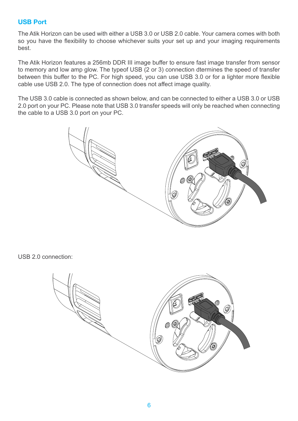#### <span id="page-5-0"></span>**USB Port**

The Atik Horizon can be used with either a USB 3.0 or USB 2.0 cable. Your camera comes with both so you have the flexibility to choose whichever suits your set up and your imaging requirements best.

The Atik Horizon features a 256mb DDR III image buffer to ensure fast image transfer from sensor to memory and low amp glow. The typeof USB (2 or 3) connection dtermines the speed of transfer between this buffer to the PC. For high speed, you can use USB 3.0 or for a lighter more flexible cable use USB 2.0. The type of connection does not affect image quality.

The USB 3.0 cable is connected as shown below, and can be connected to either a USB 3.0 or USB 2.0 port on your PC. Please note that USB 3.0 transfer speeds will only be reached when connecting the cable to a USB 3.0 port on your PC.



USB 2.0 connection:

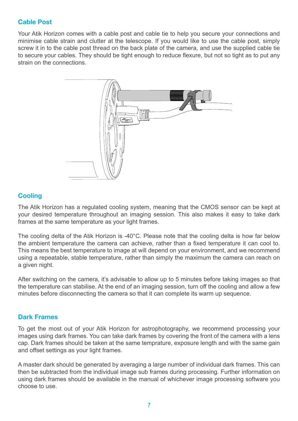#### <span id="page-6-0"></span>**Cable Post**

Your Atik Horizon comes with a cable post and cable tie to help you secure your connections and minimise cable strain and clutter at the telescope. If you would like to use the cable post, simply screw it in to the cable post thread on the back plate of the camera, and use the supplied cable tie to secure your cables. They should be tight enough to reduce flexure, but not so tight as to put any strain on the connections.



#### **Cooling**

The Atik Horizon has a regulated cooling system, meaning that the CMOS sensor can be kept at your desired temperature throughout an imaging session. This also makes it easy to take dark frames at the same temperature as your light frames.

The cooling delta of the Atik Horizon is -40°C. Please note that the cooling delta is how far below the ambient temperature the camera can achieve, rather than a fixed temperature it can cool to. This means the best temperature to image at will depend on your environment, and we recommend using a repeatable, stable temperature, rather than simply the maximum the camera can reach on a given night.

After switching on the camera, it's advisable to allow up to 5 minutes before taking images so that the temperature can stabilise. At the end of an imaging session, turn off the cooling and allow a few minutes before disconnecting the camera so that it can complete its warm up sequence.

#### **Dark Frames**

To get the most out of your Atik Horizon for astrophotography, we recommend processing your images using dark frames. You can take dark frames by covering the front of the camera with a lens cap. Dark frames should be taken at the same temprature, exposure length and with the same gain and offset settings as your light frames.

A master dark should be generated by averaging a large number of individual dark frames. This can then be subtracted from the individual image sub frames during processing. Further information on using dark frames should be available in the manual of whichever image processing software you choose to use.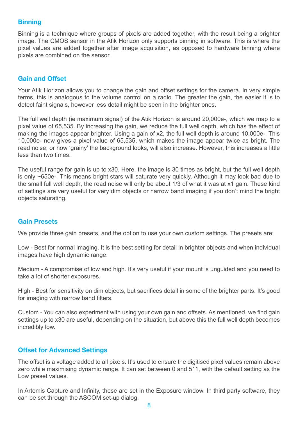#### <span id="page-7-0"></span>**Binning**

Binning is a technique where groups of pixels are added together, with the result being a brighter image. The CMOS sensor in the Atik Horizon only supports binning in software. This is where the pixel values are added together after image acquisition, as opposed to hardware binning where pixels are combined on the sensor.

#### **Gain and Offset**

Your Atik Horizon allows you to change the gain and offset settings for the camera. In very simple terms, this is analogous to the volume control on a radio. The greater the gain, the easier it is to detect faint signals, however less detail might be seen in the brighter ones.

The full well depth (ie maximum signal) of the Atik Horizon is around 20,000e-, which we map to a pixel value of 65,535. By increasing the gain, we reduce the full well depth, which has the effect of making the images appear brighter. Using a gain of x2, the full well depth is around 10,000e-. This 10,000e- now gives a pixel value of 65,535, which makes the image appear twice as bright. The read noise, or how 'grainy' the background looks, will also increase. However, this increases a little less than two times.

The useful range for gain is up to x30. Here, the image is 30 times as bright, but the full well depth is only ~650e-. This means bright stars will saturate very quickly. Although it may look bad due to the small full well depth, the read noise will only be about 1/3 of what it was at x1 gain. These kind of settings are very useful for very dim objects or narrow band imaging if you don't mind the bright objects saturating.

#### **Gain Presets**

We provide three gain presets, and the option to use your own custom settings. The presets are:

Low - Best for normal imaging. It is the best setting for detail in brighter objects and when individual images have high dynamic range.

Medium - A compromise of low and high. It's very useful if your mount is unguided and you need to take a lot of shorter exposures.

High - Best for sensitivity on dim objects, but sacrifices detail in some of the brighter parts. It's good for imaging with narrow band filters.

Custom - You can also experiment with using your own gain and offsets. As mentioned, we find gain settings up to x30 are useful, depending on the situation, but above this the full well depth becomes incredibly low.

#### **Offset for Advanced Settings**

The offset is a voltage added to all pixels. It's used to ensure the digitised pixel values remain above zero while maximising dynamic range. It can set between 0 and 511, with the default setting as the Low preset values.

In Artemis Capture and Infinity, these are set in the Exposure window. In third party software, they can be set through the ASCOM set-up dialog.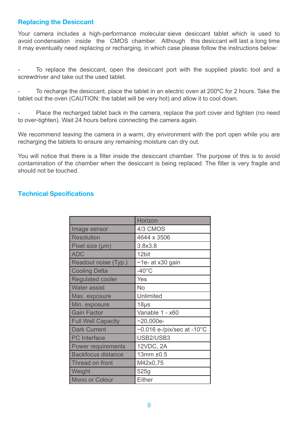#### <span id="page-8-0"></span>**Replacing the Desiccant**

Your camera includes a high-performance molecular sieve desiccant tablet which is used to avoid condensation inside the CMOS chamber. Although this desiccant will last a long time it may eventually need replacing or recharging, in which case please follow the instructions below:

To replace the desiccant, open the desiccant port with the supplied plastic tool and a screwdriver and take out the used tablet.

To recharge the desiccant, place the tablet in an electric oven at 200°C for 2 hours. Take the tablet out the oven (CAUTION: the tablet will be very hot) and allow it to cool down.

Place the recharged tablet back in the camera, replace the port cover and tighten (no need to over-tighten). Wait 24 hours before connecting the camera again.

We recommend leaving the camera in a warm, dry environment with the port open while you are recharging the tablets to ensure any remaining moisture can dry out.

You will notice that there is a filter inside the desiccant chamber. The purpose of this is to avoid contamination of the chamber when the desiccant is being replaced. The filter is very fragile and should not be touched.

#### **Technical Specifications**

|                           | Horizon                                     |
|---------------------------|---------------------------------------------|
| Image sensor              | 4/3 CMOS                                    |
| <b>Resolution</b>         | 4644 x 3506                                 |
| Pixel size (µm)           | 3.8x3.8                                     |
| <b>ADC</b>                | 12bit                                       |
| Readout noise (Typ.)      | ~1e- at x30 gain                            |
| <b>Cooling Delta</b>      | $-40^{\circ}$ C                             |
| <b>Regulated cooler</b>   | Yes                                         |
| <b>Water assist</b>       | No                                          |
| Max. exposure             | Unlimited                                   |
| Min. exposure             | 18 <sub>µs</sub>                            |
| <b>Gain Factor</b>        | Variable 1 - x60                            |
| <b>Full Well Capacity</b> | $-20,000e-$                                 |
| <b>Dark Current</b>       | $\sim$ 0.016 e-/pix/sec at -10 $^{\circ}$ C |
| <b>PC</b> Interface       | USB2/USB3                                   |
| Power requirements        | 12VDC, 2A                                   |
| <b>Backfocus distance</b> | 13mm ±0.5                                   |
| Thread on front           | M42x0,75                                    |
| Weight                    | 525g                                        |
| Mono or Colour            | Either                                      |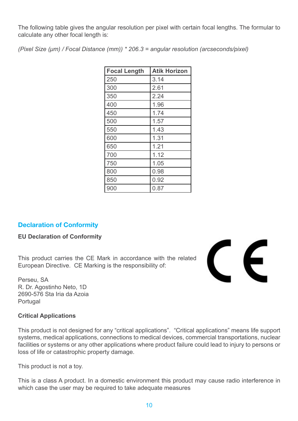<span id="page-9-0"></span>The following table gives the angular resolution per pixel with certain focal lengths. The formular to calculate any other focal length is:

*(Pixel Size (μm) / Focal Distance (mm)) \* 206.3 = angular resolution (arcseconds/pixel)*

| <b>Focal Length</b> | <b>Atik Horizon</b> |
|---------------------|---------------------|
| 250                 | 3.14                |
| 300                 | 2.61                |
| 350                 | 2.24                |
| 400                 | 1.96                |
| 450                 | 1.74                |
| 500                 | 1.57                |
| 550                 | 1.43                |
| 600                 | 1.31                |
| 650                 | 1.21                |
| 700                 | 1.12                |
| 750                 | 1.05                |
| 800                 | 0.98                |
| 850                 | 0.92                |
| 900                 | 0.87                |

#### **Declaration of Conformity**

#### **EU Declaration of Conformity**

This product carries the CE Mark in accordance with the related European Directive. CE Marking is the responsibility of:

Perseu, SA R. Dr. Agostinho Neto, 1D 2690-576 Sta Iria da Azoia Portugal

#### **Critical Applications**

This product is not designed for any "critical applications". "Critical applications" means life support systems, medical applications, connections to medical devices, commercial transportations, nuclear facilities or systems or any other applications where product failure could lead to injury to persons or loss of life or catastrophic property damage.

This product is not a toy.

This is a class A product. In a domestic environment this product may cause radio interference in which case the user may be required to take adequate measures